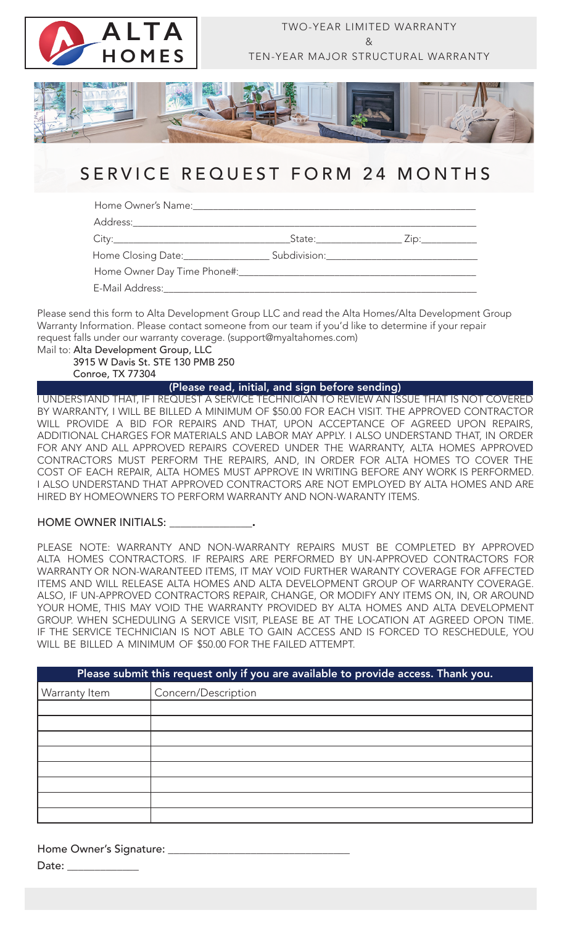

## SERVICE REQUEST FORM 24 MONTHS

Home Owner's Name:

Address:

City:\_\_\_\_\_\_\_\_\_\_\_\_\_\_\_\_\_\_\_\_\_\_\_\_\_\_\_\_\_\_\_\_\_\_\_State:\_\_\_\_\_\_\_\_\_\_\_\_\_\_\_\_\_ Zip:\_\_\_\_\_\_\_\_\_\_\_

Home Closing Date: \_\_\_\_\_\_\_\_\_\_\_\_\_\_\_\_\_\_\_\_\_\_\_\_ Subdivision:

Home Owner Day Time Phone#:

E-Mail Address:

Please send this form to Alta Development Group LLC and read the Alta Homes/Alta Development Group Warranty Information. Please contact someone from our team if you'd like to determine if your repair request falls under our warranty coverage. (support@myaltahomes.com) Mail to: Alta Development Group, LLC

 3915 W Davis St. STE 130 PMB 250 Conroe, TX 77304

(Please read, initial, and sign before sending)

I UNDERSTAND THAT, IF I REQUEST A SERVICE TECHNICIAN TO REVIEW AN ISSUE THAT IS NOT COVERED BY WARRANTY, I WILL BE BILLED A MINIMUM OF \$50.00 FOR EACH VISIT. THE APPROVED CONTRACTOR WILL PROVIDE A BID FOR REPAIRS AND THAT, UPON ACCEPTANCE OF AGREED UPON REPAIRS, ADDITIONAL CHARGES FOR MATERIALS AND LABOR MAY APPLY. I ALSO UNDERSTAND THAT, IN ORDER FOR ANY AND ALL APPROVED REPAIRS COVERED UNDER THE WARRANTY, ALTA HOMES APPROVED CONTRACTORS MUST PERFORM THE REPAIRS, AND, IN ORDER FOR ALTA HOMES TO COVER THE COST OF EACH REPAIR, ALTA HOMES MUST APPROVE IN WRITING BEFORE ANY WORK IS PERFORMED. I ALSO UNDERSTAND THAT APPROVED CONTRACTORS ARE NOT EMPLOYED BY ALTA HOMES AND ARE HIRED BY HOMEOWNERS TO PERFORM WARRANTY AND NON-WARANTY ITEMS.

### HOME OWNER INITIALS: \_\_\_\_\_\_\_\_\_\_\_\_\_\_\_.

PLEASE NOTE: WARRANTY AND NON-WARRANTY REPAIRS MUST BE COMPLETED BY APPROVED ALTA HOMES CONTRACTORS. IF REPAIRS ARE PERFORMED BY UN-APPROVED CONTRACTORS FOR WARRANTY OR NON-WARANTEED ITEMS, IT MAY VOID FURTHER WARANTY COVERAGE FOR AFFECTED ITEMS AND WILL RELEASE ALTA HOMES AND ALTA DEVELOPMENT GROUP OF WARRANTY COVERAGE. ALSO, IF UN-APPROVED CONTRACTORS REPAIR, CHANGE, OR MODIFY ANY ITEMS ON, IN, OR AROUND YOUR HOME, THIS MAY VOID THE WARRANTY PROVIDED BY ALTA HOMES AND ALTA DEVELOPMENT GROUP. WHEN SCHEDULING A SERVICE VISIT, PLEASE BE AT THE LOCATION AT AGREED OPON TIME. IF THE SERVICE TECHNICIAN IS NOT ABLE TO GAIN ACCESS AND IS FORCED TO RESCHEDULE, YOU WILL BE BILLED A MINIMUM OF \$50.00 FOR THE FAILED ATTEMPT.

| Please submit this request only if you are available to provide access. Thank you. |                     |
|------------------------------------------------------------------------------------|---------------------|
| Warranty Item                                                                      | Concern/Description |
|                                                                                    |                     |
|                                                                                    |                     |
|                                                                                    |                     |
|                                                                                    |                     |
|                                                                                    |                     |
|                                                                                    |                     |
|                                                                                    |                     |
|                                                                                    |                     |

Home Owner's Signature: \_\_\_\_\_\_\_\_\_\_\_\_\_\_\_\_\_\_\_\_\_\_\_\_\_\_\_\_\_\_\_\_\_ Date:  $\__$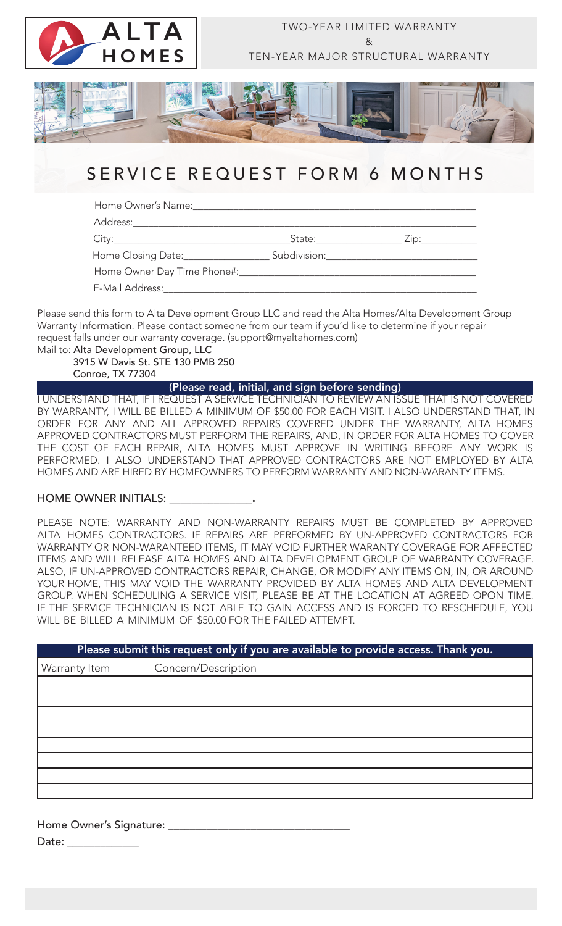

# SERVICE REQUEST FORM 6 MONTHS

Home Owner's Name:

Address:

City:\_\_\_\_\_\_\_\_\_\_\_\_\_\_\_\_\_\_\_\_\_\_\_\_\_\_\_\_\_\_\_\_\_\_\_State:\_\_\_\_\_\_\_\_\_\_\_\_\_\_\_\_\_ Zip:\_\_\_\_\_\_\_\_\_\_\_

Home Closing Date: \_\_\_\_\_\_\_\_\_\_\_\_\_\_\_\_\_\_\_\_\_\_\_\_ Subdivision: \_\_\_\_\_\_\_\_\_\_\_\_\_\_\_\_\_\_\_\_\_\_\_ Home Owner Day Time Phone#:

E-Mail Address:

Please send this form to Alta Development Group LLC and read the Alta Homes/Alta Development Group Warranty Information. Please contact someone from our team if you'd like to determine if your repair request falls under our warranty coverage. (support@myaltahomes.com) Mail to: Alta Development Group, LLC

 3915 W Davis St. STE 130 PMB 250 Conroe, TX 77304

(Please read, initial, and sign before sending)

I UNDERSTAND THAT, IF I REQUEST A SERVICE TECHNICIAN TO REVIEW AN ISSUE THAT IS NOT COVERED BY WARRANTY, I WILL BE BILLED A MINIMUM OF \$50.00 FOR EACH VISIT. I ALSO UNDERSTAND THAT, IN ORDER FOR ANY AND ALL APPROVED REPAIRS COVERED UNDER THE WARRANTY, ALTA HOMES APPROVED CONTRACTORS MUST PERFORM THE REPAIRS, AND, IN ORDER FOR ALTA HOMES TO COVER THE COST OF EACH REPAIR, ALTA HOMES MUST APPROVE IN WRITING BEFORE ANY WORK IS PERFORMED. I ALSO UNDERSTAND THAT APPROVED CONTRACTORS ARE NOT EMPLOYED BY ALTA HOMES AND ARE HIRED BY HOMEOWNERS TO PERFORM WARRANTY AND NON-WARANTY ITEMS.

### HOME OWNER INITIALS:

PLEASE NOTE: WARRANTY AND NON-WARRANTY REPAIRS MUST BE COMPLETED BY APPROVED ALTA HOMES CONTRACTORS. IF REPAIRS ARE PERFORMED BY UN-APPROVED CONTRACTORS FOR WARRANTY OR NON-WARANTEED ITEMS, IT MAY VOID FURTHER WARANTY COVERAGE FOR AFFECTED ITEMS AND WILL RELEASE ALTA HOMES AND ALTA DEVELOPMENT GROUP OF WARRANTY COVERAGE. ALSO, IF UN-APPROVED CONTRACTORS REPAIR, CHANGE, OR MODIFY ANY ITEMS ON, IN, OR AROUND YOUR HOME, THIS MAY VOID THE WARRANTY PROVIDED BY ALTA HOMES AND ALTA DEVELOPMENT GROUP. WHEN SCHEDULING A SERVICE VISIT, PLEASE BE AT THE LOCATION AT AGREED OPON TIME. IF THE SERVICE TECHNICIAN IS NOT ABLE TO GAIN ACCESS AND IS FORCED TO RESCHEDULE, YOU WILL BE BILLED A MINIMUM OF \$50.00 FOR THE FAILED ATTEMPT.

| Please submit this request only if you are available to provide access. Thank you. |                     |  |
|------------------------------------------------------------------------------------|---------------------|--|
| Warranty Item                                                                      | Concern/Description |  |
|                                                                                    |                     |  |
|                                                                                    |                     |  |
|                                                                                    |                     |  |
|                                                                                    |                     |  |
|                                                                                    |                     |  |
|                                                                                    |                     |  |
|                                                                                    |                     |  |
|                                                                                    |                     |  |

Home Owner's Signature: \_\_\_\_\_\_\_\_\_\_\_\_\_\_\_\_\_\_\_\_\_\_\_\_\_\_\_\_\_\_\_\_\_ Date:  $\rule{1em}{0.15mm}$